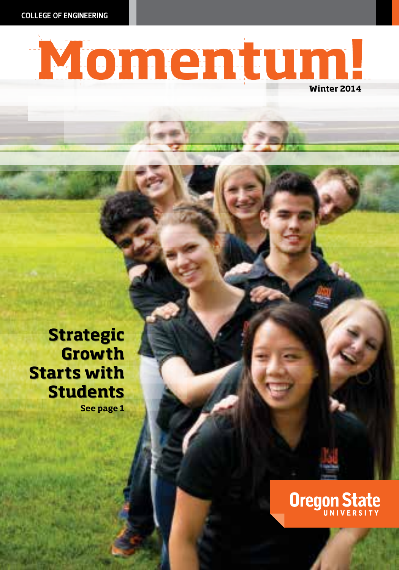COLLEGE OF ENGINEERING



**Strategic Strategic Growth Growth Starts with Starts with Students Students**

**See page 1**

# **Oregon State**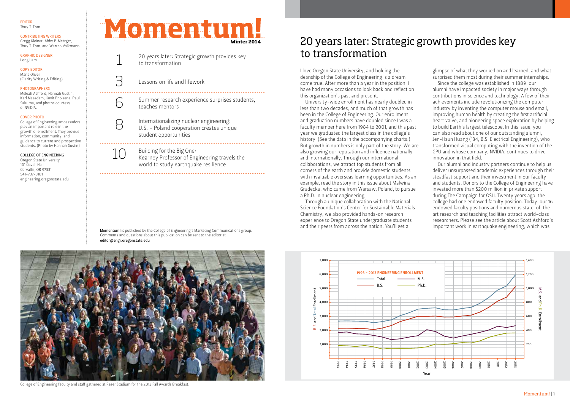#### EDITOR Thuy T. Tran

#### CONTRIBUTING WRITERS Gregg Kleiner, Abby P. Metzger,

Thuy T. Tran, and Warren Volkmann

GRAPHIC DESIGNER Long Lam

#### COPY EDITOR Marie Oliver (Clarity Writing & Editing)

#### PHOTOGRAPHERS

Meleah Ashford, Hannah Gustin, Karl Maasdam, Kovit Pholsena, Paul Sakuma, and photos courtesy of NVIDIA.

#### COVER PHOTO

College of Engineering ambassadors play an important role in the growth of enrollment. They provide information, community, and guidance to current and prospective students. (Photo by Hannah Gustin)

#### COLLEGE OF ENGINEERING

Oregon State University 101 Covell Hall Corvallis, OR 97331 541-737-3101 engineering.oregonstate.edu **Momentum!** 

**Winter 2014**

6

8

10

 $\beta$  Lessons on life and lifework

Summer research experience surprises students, teaches mentors

20 years later: Strategic growth provides key<br>to transformation

Internationalizing nuclear engineering: U.S. – Poland cooperation creates unique student opportunities

Building for the Big One: Kearney Professor of Engineering travels the world to study earthquake resilience

Momentum! is published by the College of Engineering's Marketing Communications group. Comments and questions about this publication can be sent to the editor at editor@engr.oregonstate.edu



College of Engineering faculty and staff gathered at Reser Stadium for the 2013 Fall Awards Breakfast.

## 20 years later: Strategic growth provides key to transformation

I love Oregon State University, and holding the deanship of the College of Engineering is a dream come true. After more than a year in the position, I have had many occasions to look back and reflect on this organization's past and present.

University-wide enrollment has nearly doubled in less than two decades, and much of that growth has been in the College of Engineering. Our enrollment and graduation numbers have doubled since I was a faculty member here from 1984 to 2001, and this past year we graduated the largest class in the college's history. (See the data in the accompanying charts.) But growth in numbers is only part of the story. We are also growing our reputation and influence nationally and internationally. Through our international collaborations, we attract top students from all corners of the earth and provide domestic students with invaluable overseas learning opportunities. As an example, read the story in this issue about Malwina Gradecka, who came from Warsaw, Poland, to pursue a Ph.D. in nuclear engineering.

Through a unique collaboration with the National Science Foundation's Center for Sustainable Materials Chemistry, we also provided hands-on research experience to Oregon State undergraduate students and their peers from across the nation. You'll get a

glimpse of what they worked on and learned, and what surprised them most during their summer internships.

Since the college was established in 1889, our alumni have impacted society in major ways through contributions in science and technology. A few of their achievements include revolutionizing the computer industry by inventing the computer mouse and email, improving human health by creating the first artificial heart valve, and pioneering space exploration by helping to build Earth's largest telescope. In this issue, you can also read about one of our outstanding alumni, Jen-Hsun Huang ('84, B.S. Electrical Engineering), who transformed visual computing with the invention of the GPU and whose company, NVIDIA, continues to drive innovation in that field.

Our alumni and industry partners continue to help us deliver unsurpassed academic experiences through their steadfast support and their investment in our faculty and students. Donors to the College of Engineering have invested more than \$200 million in private support during The Campaign for OSU. Twenty years ago, the college had one endowed faculty position. Today, our 16 endowed faculty positions and numerous state-of-theart research and teaching facilities attract world-class researchers. Please see the article about Scott Ashford's important work in earthquake engineering, which was

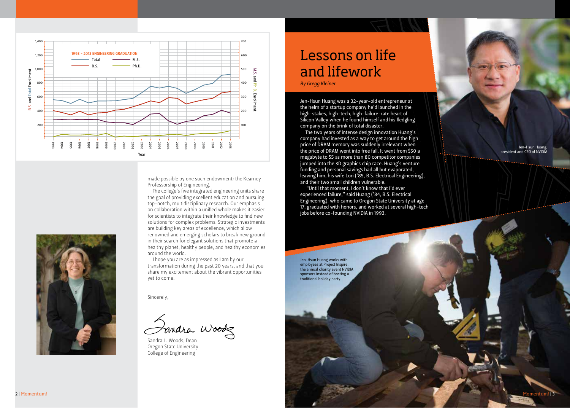

made possible by one such endowment: the Kearney Professorship of Engineering.

The college's five integrated engineering units share the goal of providing excellent education and pursuing top-notch, multidisciplinary research. Our emphasis on collaboration within a unified whole makes it easier for scientists to integrate their knowledge to find new solutions for complex problems. Strategic investments are building key areas of excellence, which allow renowned and emerging scholars to break new ground in their search for elegant solutions that promote a healthy planet, healthy people, and healthy economies around the world.

I hope you are as impressed as I am by our transformation during the past 20 years, and that you share my excitement about the vibrant opportunities yet to come.

Sincerely,

Fandra Woodz

Sandra L. Woods, Dean Oregon State University College of Engineering

## Lessons on life and lifework

*By Gregg Kleiner*

Jen-Hsun Huang was a 32-year-old entrepreneur at the helm of a startup company he'd launched in the high-stakes, high-tech, high-failure-rate heart of Silicon Valley when he found himself and his fledgling company on the brink of total disaster.

The two years of intense design innovation Huang's company had invested as a way to get around the high price of DRAM memory was suddenly irrelevant when the price of DRAM went into free fall. It went from \$50 a megabyte to \$5 as more than 80 competitor companies jumped into the 3D graphics chip race. Huang's venture funding and personal savings had all but evaporated, leaving him, his wife Lori ('85, B.S. Electrical Engineering), and their two small children vulnerable.

 "Until that moment, I don't know that I'd ever experienced failure," said Huang ('84, B.S. Electrical Engineering), who came to Oregon State University at age 17, graduated with honors, and worked at several high-tech jobs before co-founding NVIDIA in 1993.

Jen-Hsun Huang works with employees at Project Inspire, the annual charity event NVIDIA sponsors instead of hosting a traditional holiday party.

Jen-Hsun Huang, president and CEO of NVIDIA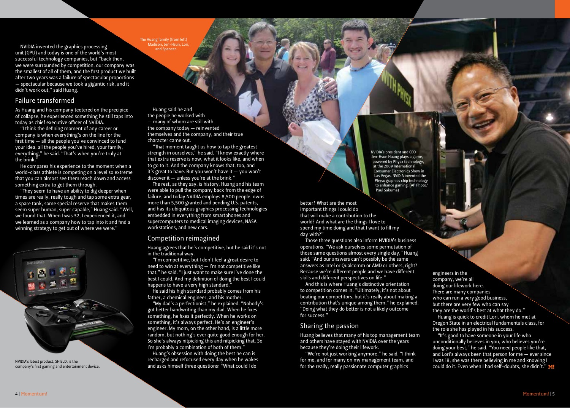The Huang family (from left) Madison, Jen-Hsun, Lori, and Spencer.

NVIDIA invented the graphics processing unit (GPU) and today is one of the world's most successful technology companies, but "back then, we were surrounded by competition, our company was the smallest of all of them, and the first product we built after two years was a failure of spectacular proportions — spectacular because we took a gigantic risk, and it didn't work out," said Huang.

#### Failure transformed

As Huang and his company teetered on the precipice of collapse, he experienced something he still taps into today as chief executive officer of NVIDIA.

"I think the defining moment of any career or company is when everything's on the line for the first time — all the people you've convinced to fund your idea, all the people you've hired, your family, everything," he said. "That's when you're truly at the brink."

He compares his experience to the moment when a world-class athlete is competing on a level so extreme that you can almost see them reach down and access something extra to get them through.

"They seem to have an ability to dig deeper when times are really, really tough and tap some extra gear, a spare tank, some special reserve that makes them seem super human, super capable," Huang said. "Well, we found that. When I was 32, I experienced it, and we learned as a company how to tap into it and find a winning strategy to get out of where we were."



NVIDIA's latest product, SHIELD, is the company's first gaming and entertainment device.

Huang said he and the people he worked with — many of whom are still with the company today — reinvented themselves and the company, and their true character came out.

"That moment taught us how to tap the greatest strength in ourselves," he said. "I know exactly where that extra reserve is now, what it looks like, and when to go to it. And the company knows that, too, and it's great to have. But you won't have it  $-$  you won't discover it — unless you're at the brink."

The rest, as they say, is history. Huang and his team were able to pull the company back from the edge of failure, and today NVIDIA employs 8,500 people, owns more than 5,500 granted and pending U.S. patents, and has its ubiquitous graphics processing technologies embedded in everything from smartphones and supercomputers to medical imaging devices, NASA workstations, and new cars.

#### Competition reimagined

Huang agrees that he's competitive, but he said it's not in the traditional way.

"I'm competitive, but I don't feel a great desire to need to win at everything — I'm not competitive like that," he said. "I just want to make sure I've done the best I could. And my definition of doing the best I could happens to have a very high standard."

He said his high standard probably comes from his father, a chemical engineer, and his mother.

"My dad's a perfectionist," he explained. "Nobody's got better handwriting than my dad. When he fixes something, he fixes it perfectly. When he works on something, it's always perfect. He's an engineer's engineer. My mom, on the other hand, is a little more random, but nothing's ever quite good enough for her. So she's always nitpicking this and nitpicking that. So I'm probably a combination of both of them."

Huang's obsession with doing the best he can is recharged and refocused every day when he wakes and asks himself three questions: "What could I do

NVIDIA's president and CEO Jen-Hsun Huang plays a game, powered by Physx technology, at the 2009 International Consumer Electronics Show in Las Vegas. NVIDIA invented the Physx graphics chip technology to enhance gaming. (AP Photo/ Paul Sakuma)

better? What are the most important things I could do that will make a contribution to the world? And what are the things I love to spend my time doing and that I want to fill my day with?"

Those three questions also inform NVIDIA's business operations. "We ask ourselves some permutation of those same questions almost every single day," Huang said. "And our answers can't possibly be the same answers as Intel or Qualcomm or AMD or others, right? Because we're different people and we have different skills and different perspectives on life."

And this is where Huang's distinctive orientation to competition comes in. "Ultimately, it's not about beating our competitors, but it's really about making a contribution that's unique among them," he explained. "Doing what they do better is not a likely outcome for success."

#### Sharing the passion

Huang believes that many of his top management team and others have stayed with NVIDIA over the years because they're doing their lifework.

"We're not just working anymore," he said. "I think for me, and for many on my management team, and for the really, really passionate computer graphics

engineers in the company, we're all doing our lifework here. There are many companies who can run a very good business, but there are very few who can say they are the world's best at what they do."

Huang is quick to credit Lori, whom he met at Oregon State in an electrical fundamentals class, for the role she has played in his success.

"It's good to have someone in your life who unconditionally believes in you, who believes you're doing your best," he said. "You need people like that, and Lori's always been that person for me — ever since I was 18, she was there believing in me and knowing I could do it. Even when I had self-doubts, she didn't."  $M!$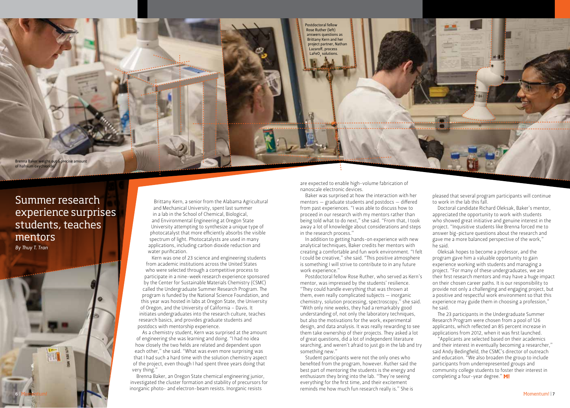

### Summer research experience surprises students, teaches mentors *By Thuy T. Tran*

Brittany Kern, a senior from the Alabama Agricultural and Mechanical University, spent last summer in a lab in the School of Chemical, Biological, and Environmental Engineering at Oregon State University attempting to synthesize a unique type of photocatalyst that more efficiently absorbs the visible spectrum of light. Photocatalysts are used in many applications, including carbon dioxide reduction and water purification.

Kern was one of 23 science and engineering students from academic institutions across the United States who were selected through a competitive process to participate in a nine-week research experience sponsored by the Center for Sustainable Materials Chemistry (CSMC) called the Undergraduate Summer Research Program. The program is funded by the National Science Foundation, and this year was hosted in labs at Oregon State, the University of Oregon, and the University of California – Davis. It initiates undergraduates into the research culture, teaches research basics, and provides graduate students and postdocs with mentorship experience.

As a chemistry student, Kern was surprised at the amount of engineering she was learning and doing. "I had no idea how closely the two fields are related and dependent upon each other," she said. "What was even more surprising was that I had such a hard time with the solution chemistry aspect of the project, even though I had spent three years doing that very thing."

Brenna Baker, an Oregon State chemical engineering junior, investigated the cluster formation and stability of precursors for inorganic photo- and electron-beam resists. Inorganic resists

are expected to enable high-volume fabrication of nanoscale electronic devices.

Baker was surprised at how the interaction with her mentors — graduate students and postdocs — differed from past experiences. "I was able to discuss how to proceed in our research with my mentors rather than being told what to do next," she said. "From that, I took away a lot of knowledge about considerations and steps in the research process."

In addition to getting hands-on experience with new analytical techniques, Baker credits her mentors with creating a comfortable and fun work environment. "I felt I could be creative," she said. "This positive atmosphere is something I will strive to contribute to in any future work experience."

Postdoctoral fellow Rose Ruther, who served as Kern's mentor, was impressed by the students' resilience. "They could handle everything that was thrown at them, even really complicated subjects — inorganic chemistry, solution processing, spectroscopy," she said. "With only nine weeks, they had a remarkably good understanding of, not only the laboratory techniques, but also the motivations for the work, experimental design, and data analysis. It was really rewarding to see them take ownership of their projects. They asked a lot of great questions, did a lot of independent literature searching, and weren't afraid to just go in the lab and try something new."

Student participants were not the only ones who benefited from the program, however. Ruther said the best part of mentoring the students is the energy and enthusiasm they bring into the lab. "They're seeing everything for the first time, and their excitement reminds me how much fun research really is." She is

pleased that several program participants will continue to work in the lab this fall.

Doctoral candidate Richard Oleksak, Baker's mentor, appreciated the opportunity to work with students who showed great initiative and genuine interest in the project. "Inquisitive students like Brenna forced me to answer big-picture questions about the research and gave me a more balanced perspective of the work," he said.

Oleksak hopes to become a professor, and the program gave him a valuable opportunity to gain experience working with students and managing a project. "For many of these undergraduates, we are their first research mentors and may have a huge impact on their chosen career paths. It is our responsibility to provide not only a challenging and engaging project, but a positive and respectful work environment so that this experience may guide them in choosing a profession," he said.

The 23 participants in the Undergraduate Summer Research Program were chosen from a pool of 126 applicants, which reflected an 85 percent increase in applications from 2012, when it was first launched.

"Applicants are selected based on their academics and their interest in eventually becoming a researcher," said Andy Bedingfield, the CSMC's director of outreach and education. "We also broaden the group to include participants from underrepresented groups and community college students to foster their interest in completing a four-year degree." M!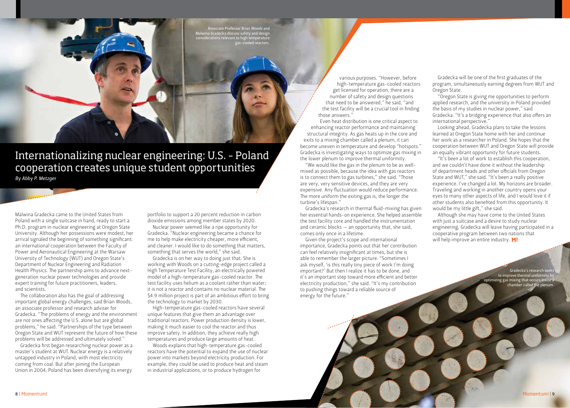Associate Professor Brian Woods and Malwina Gradecka discuss safety and design considerations relevant to high temperature gas-cooled reactors.

Internationalizing nuclear engineering: U.S. – Poland cooperation creates unique student opportunities *By Abby P. Metzger*

Malwina Gradecka came to the United States from Poland with a single suitcase in hand, ready to start a Ph.D. program in nuclear engineering at Oregon State University. Although her possessions were modest, her arrival signaled the beginning of something significant: an international cooperation between the Faculty of Power and Aeronautical Engineering at the Warsaw University of Technology (WUT) and Oregon State's Department of Nuclear Engineering and Radiation Health Physics. The partnership aims to advance nextgeneration nuclear power technologies and provide expert training for future practitioners, leaders, and scientists.

The collaboration also has the goal of addressing important global energy challenges, said Brian Woods, an associate professor and research adviser for Gradecka. "The problems of energy and the environment are not ones affecting the U.S. alone but are global problems," he said. "Partnerships of the type between Oregon State and WUT represent the future of how these problems will be addressed and ultimately solved."

Gradecka first began researching nuclear power as a master's student at WUT. Nuclear energy is a relatively untapped industry in Poland, with most electricity coming from coal. But after joining the European Union in 2004, Poland has been diversifying its energy

portfolio to support a 20 percent reduction in carbon dioxide emissions among member states by 2020.

Nuclear power seemed like a ripe opportunity for Gradecka. "Nuclear engineering became a chance for me to help make electricity cheaper, more efficient, and cleaner. I would like to do something that matters, something that serves the world," she said.

Gradecka is on her way to doing just that. She is working with Woods on a cutting-edge project called a High Temperature Test Facility, an electrically powered model of a high-temperature gas-cooled reactor. The test facility uses helium as a coolant rather than water; it is not a reactor and contains no nuclear material. The \$4.9 million project is part of an ambitious effort to bring the technology to market by 2030.

High-temperature gas-cooled reactors have several unique features that give them an advantage over traditional reactors. Power production density is lower, making it much easier to cool the reactor and thus improve safety. In addition, they achieve really high temperatures and produce large amounts of heat.

Woods explains that high-temperature gas-cooled reactors have the potential to expand the use of nuclear power into markets beyond electricity production. For example, they could be used to produce heat and steam in industrial applications, or to produce hydrogen for

various purposes. "However, before high-temperature gas-cooled reactors get licensed for operation, there are a number of safety and design questions that need to be answered," he said, "and the test facility will be a crucial tool in finding those answers."

Even heat distribution is one critical aspect to enhancing reactor performance and maintaining structural integrity. As gas heats up in the core and exits to a mixing chamber called a plenum, it can become uneven in temperature and develop "hotspots." Gradecka is investigating ways to optimize gas mixing in the lower plenum to improve thermal uniformity.

"We would like the gas in the plenum to be as wellmixed as possible, because the idea with gas reactors is to connect them to gas turbines," she said. "Those are very, very sensitive devices, and they are very expensive. Any fluctuation would reduce performance. The more uniform the exiting gas is, the longer the turbine's lifespan."

Gradecka's research in thermal fluid-mixing has given her essential hands-on experience. She helped assemble the test facility core and handled the instrumentation and ceramic blocks — an opportunity that, she said, comes only once in a lifetime.

Given the project's scope and international importance, Gradecka points out that her contribution can feel relatively insignificant at times, but she is able to remember the larger picture. "Sometimes I ask myself, 'is this really tiny piece of work I'm doing important?' But then I realize it has to be done, and it's an important step toward more efficient and better electricity production," she said. "It's my contribution to pushing things toward a reliable source of energy for the future."

Gradecka will be one of the first graduates of the program, simultaneously earning degrees from WUT and Oregon State.

"Oregon State is giving me opportunities to perform applied research, and the university in Poland provided the basis of my studies in nuclear power," said Gradecka. "It's a bridging experience that also offers an international perspective."

Looking ahead, Gradecka plans to take the lessons learned at Oregon State home with her and continue her work as a researcher in Poland. She hopes that the cooperation between WUT and Oregon State will provide an equally vibrant opportunity for future students.

"It's been a lot of work to establish this cooperation, and we couldn't have done it without the leadership of department heads and other officials from Oregon State and WUT," she said. "It's been a really positive experience. I've changed a lot. My horizons are broader. Traveling and working in another country opens your eyes to many other aspects of life, and I would love it if other students also benefited from this opportunity. It would be my little gift," she said.

Although she may have come to the United States with just a suitcase and a desire to study nuclear engineering, Gradecka will leave having participated in a cooperative program between two nations that will help improve an entire industry.  $M!$ 

> Gradecka's research see to improve thermal uniformity b optimizing gas mixing that occurs inside a chamber called the plenum.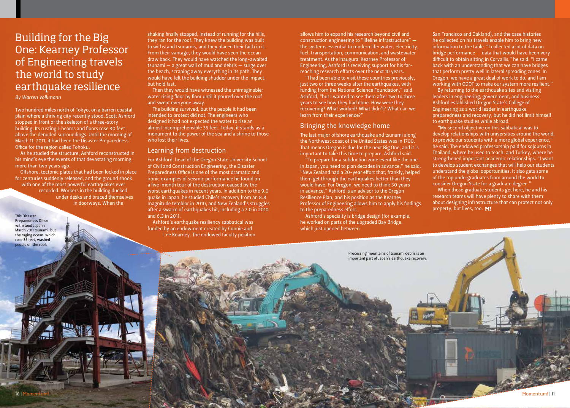## Building for the Big One: Kearney Professor of Engineering travels the world to study earthquake resilience

#### *By Warren Volkmann*

Two hundred miles north of Tokyo, on a barren coastal plain where a thriving city recently stood, Scott Ashford stopped in front of the skeleton of a three-story building. Its rusting I-beams and floors rose 30 feet above the denuded surroundings. Until the morning of March 11, 2011, it had been the Disaster Preparedness Office for the region called Tohoku.

As he studied the structure, Ashford reconstructed in his mind's eye the events of that devastating morning more than two years ago.

Offshore, tectonic plates that had been locked in place for centuries suddenly released, and the ground shook with one of the most powerful earthquakes ever recorded. Workers in the building ducked under desks and braced themselves in doorways. When the

This Disaster Preparedness Office withstood Japan's March 2011 tsunami, but the raging ocean, which rose 35 feet, washed people off the roof.

shaking finally stopped, instead of running for the hills, they ran for the roof. They knew the building was built to withstand tsunamis, and they placed their faith in it. From their vantage, they would have seen the ocean draw back. They would have watched the long-awaited tsunami — a great wall of mud and debris — surge over the beach, scraping away everything in its path. They would have felt the building shudder under the impact, but hold fast.

Then they would have witnessed the unimaginable: water rising floor by floor until it poured over the roof and swept everyone away.

The building survived, but the people it had been intended to protect did not. The engineers who designed it had not expected the water to rise an almost incomprehensible 35 feet. Today, it stands as a monument to the power of the sea and a shrine to those who lost their lives.

#### Learning from destruction

For Ashford, head of the Oregon State University School of Civil and Construction Engineering, the Disaster Preparedness Office is one of the most dramatic and ironic examples of seismic performance he found on a five-month tour of the destruction caused by the worst earthquakes in recent years. In addition to the 9.0 quake in Japan, he studied Chile's recovery from an 8.8 magnitude temblor in 2010, and New Zealand's struggles after a swarm of earthquakes hit, including a 7.0 in 2010 and 6.3 in 2011.

Ashford's earthquake resiliency sabbatical was funded by an endowment created by Connie and Lee Kearney. The endowed faculty position allows him to expand his research beyond civil and construction engineering to "lifeline infrastructure" the systems essential to modern life: water, electricity, fuel, transportation, communication, and wastewater treatment. As the inaugural Kearney Professor of Engineering, Ashford is receiving support for his farreaching research efforts over the next 10 years.

"I had been able to visit these countries previously, just two or three weeks after the earthquakes, with funding from the National Science Foundation," said Ashford, "but I wanted to see them after two to three years to see how they had done. How were they recovering? What worked? What didn't? What can we learn from their experience?"

#### Bringing the knowledge home

The last major offshore earthquake and tsunami along the Northwest coast of the United States was in 1700. That means Oregon is due for the next Big One, and it is important to take this time to prepare, Ashford said.

"To prepare for a subduction zone event like the one in Japan, you need to plan decades in advance," he said. "New Zealand had a 20-year effort that, frankly, helped them get through the earthquakes better than they would have. For Oregon, we need to think 50 years in advance." Ashford is an advisor to the Oregon Resilience Plan, and his position as the Kearney Professor of Engineering allows him to apply his findings to the preparedness effort.

Ashford's specialty is bridge design (for example, he worked on parts of the upgraded Bay Bridge, which just opened between

San Francisco and Oakland), and the case histories he collected on his travels enable him to bring new information to the table. "I collected a lot of data on bridge performance — data that would have been very difficult to obtain sitting in Corvallis," he said. "I came back with an understanding that we can have bridges that perform pretty well in lateral spreading zones. In Oregon, we have a great deal of work to do, and I am working with ODOT to make our system more resilient."

By returning to the earthquake sites and visiting leaders in engineering, government, and business, Ashford established Oregon State's College of Engineering as a world leader in earthquake preparedness and recovery, but he did not limit himself to earthquake studies while abroad.

"My second objective on this sabbatical was to develop relationships with universities around the world, to provide our students with a more global experience," he said. The endowed professorship paid for sojourns in Thailand, where he used to teach, and Turkey, where he strengthened important academic relationships. "I want to develop student exchanges that will help our students understand the global opportunities. It also gets some of the top undergraduates from around the world to consider Oregon State for a graduate degree."

When those graduate students get here, he and his research teams will have plenty to share with them about designing infrastructure that can protect not only property, but lives, too. M!

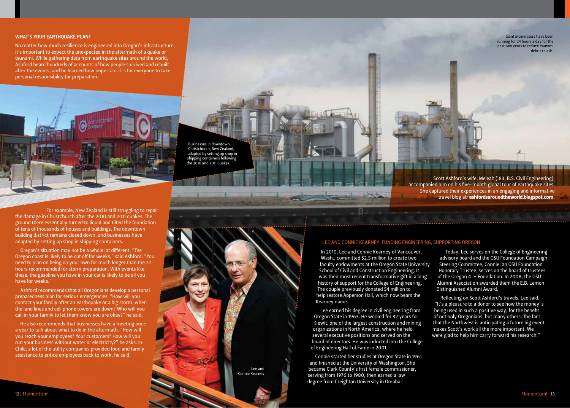#### WHAT'S YOUR EARTHQUAKE PLAN?

No matter how much resilience is engineered into Oregon's infrastructure, it's important to expect the unexpected in the aftermath of a quake or tsunami. While gathering data from earthquake sites around the world, Ashford heard hundreds of accounts of how people survived and rebuilt after the events, and he learned how important it is for everyone to take personal responsibility for preparation.



For example, New Zealand is still struggling to repair the damage in Christchurch after the 2010 and 2011 quakes. The ground there essentially turned to liquid and tilted the foundation of tens of thousands of houses and buildings. The downtown building district remains closed down, and businesses have adapted by setting up shop in shipping containers.

Oregon's situation may not be a whole lot different. "The Oregon coast is likely to be cut off for weeks," said Ashford. "You need to plan on being on your own for much longer than the 72 hours recommended for storm preparation. With events like these, the gasoline you have in your car is likely to be all you have for weeks."

Ashford recommends that all Oregonians develop a personal preparedness plan for serious emergencies. "How will you contact your family after an earthquake or a big storm, when the land lines and cell phone towers are down? Who will you call in your family to let them know you are okay?" he said.

He also recommends that businesses have a meeting once a year to talk about what to do in the aftermath. "How will you reach your employees? Your customers? How will you run your business without water or electricity?" he asks. In Chile, a lot of the utility companies provided food and family assistance to entice employees back to work, he said.

Businesses in downtown Christchurch, New Zealand, adapted by setting up shop in shipping containers following the 2010 and 2011 quakes.

> Lee and Connie Kearney

Scott Ashford's wife, Meleah ('83, B.S. Civil Engineering), accompanied him on his five-month global tour of earthquake sites. She captured their experiences in an engaging and informative travel blog at: ashfordsaroundtheworld.blogspot.com.

#### LEE AND CONNIE KEARNEY: FUNDING ENGINEERING, SUPPORTING OREGON

In 2010, Lee and Connie Kearney of Vancouver, Wash., committed \$2.5 million to create two faculty endowments at the Oregon State University School of Civil and Construction Engineering. It was their most recent transformative gift in a long history of support for the College of Engineering. The couple previously donated \$4 million to help restore Apperson Hall, which now bears the Kearney name.

Lee earned his degree in civil engineering from Oregon State in 1963. He worked for 32 years for Kiewit, one of the largest construction and mining organizations in North America, where he held several executive positions and served on the board of directors. He was inducted into the College of Engineering Hall of Fame in 2001.

Connie started her studies at Oregon State in 1961 and finished at the University of Washington. She became Clark County's first female commissioner, serving from 1976 to 1980, then earned a law degree from Creighton University in Omaha.

Today, Lee serves on the College of Engineering advisory board and the OSU Foundation Campaign Steering Committee; Connie, an OSU Foundation Honorary Trustee, serves on the board of trustees of the Oregon 4-H Foundation. In 2008, the OSU Alumni Association awarded them the E.B. Lemon Distinguished Alumni Award.

Reflecting on Scott Ashford's travels, Lee said, "It's a pleasure to a donor to see how the money is being used in such a positive way, for the benefit of not only Oregonians, but many others. The fact that the Northwest is anticipating a future big event makes Scott's work all the more important. We were glad to help him carry forward his research."

Giant incinerators have been running for 24 hours a day for the past two years to reduce tsunami debris to ash.